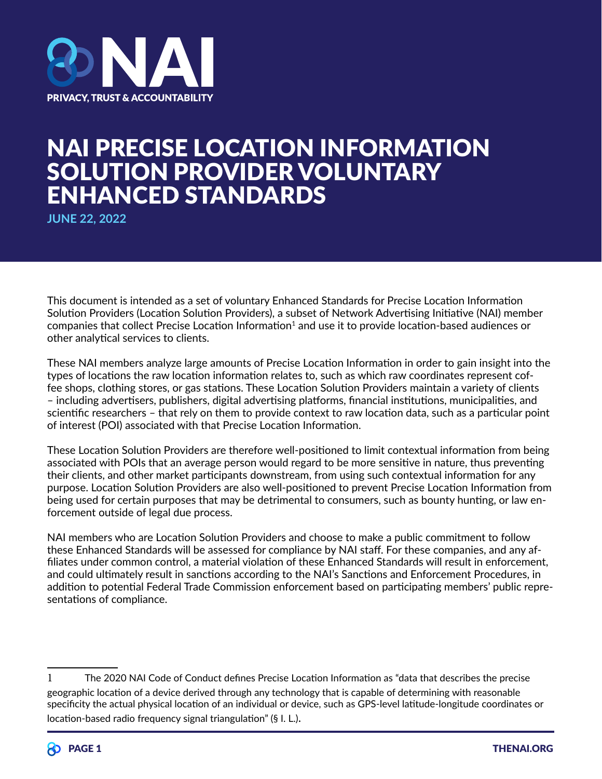

# NAI PRECISE LOCATION INFORMATION SOLUTION PROVIDER VOLUNTARY ENHANCED STANDARDS

**JUNE 22, 2022**

This document is intended as a set of voluntary Enhanced Standards for Precise Location Information Solution Providers (Location Solution Providers), a subset of Network Advertising Initiative (NAI) member companies that collect Precise Location Information<sup>1</sup> and use it to provide location-based audiences or other analytical services to clients.

These NAI members analyze large amounts of Precise Location Information in order to gain insight into the types of locations the raw location information relates to, such as which raw coordinates represent coffee shops, clothing stores, or gas stations. These Location Solution Providers maintain a variety of clients – including advertisers, publishers, digital advertising platforms, financial institutions, municipalities, and scientific researchers – that rely on them to provide context to raw location data, such as a particular point of interest (POI) associated with that Precise Location Information.

These Location Solution Providers are therefore well-positioned to limit contextual information from being associated with POIs that an average person would regard to be more sensitive in nature, thus preventing their clients, and other market participants downstream, from using such contextual information for any purpose. Location Solution Providers are also well-positioned to prevent Precise Location Information from being used for certain purposes that may be detrimental to consumers, such as bounty hunting, or law enforcement outside of legal due process.

NAI members who are Location Solution Providers and choose to make a public commitment to follow these Enhanced Standards will be assessed for compliance by NAI staff. For these companies, and any affiliates under common control, a material violation of these Enhanced Standards will result in enforcement, and could ultimately result in sanctions according to the NAI's Sanctions and Enforcement Procedures, in addition to potential Federal Trade Commission enforcement based on participating members' public representations of compliance.

<sup>1</sup> The 2020 NAI Code of Conduct defines Precise Location Information as "data that describes the precise geographic location of a device derived through any technology that is capable of determining with reasonable specificity the actual physical location of an individual or device, such as GPS-level latitude-longitude coordinates or location-based radio frequency signal triangulation" (§ I. L.).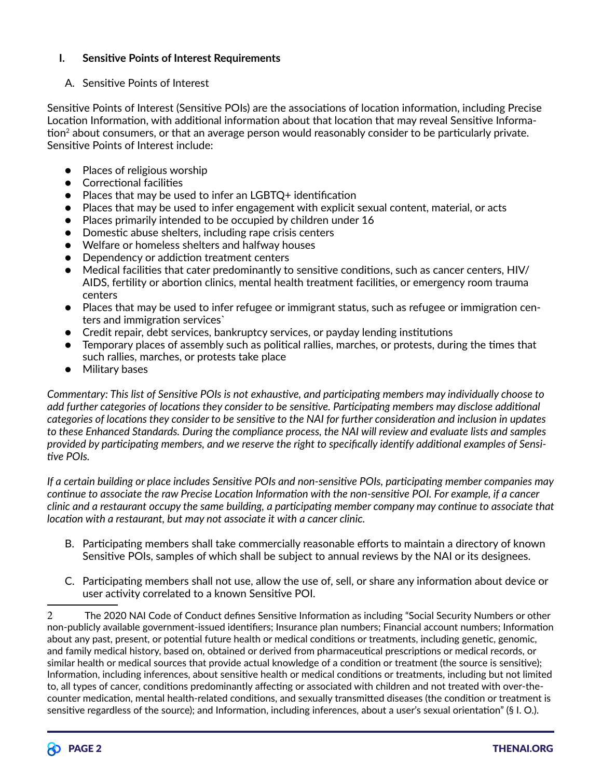### **I. Sensitive Points of Interest Requirements**

## A. Sensitive Points of Interest

Sensitive Points of Interest (Sensitive POIs) are the associations of location information, including Precise Location Information, with additional information about that location that may reveal Sensitive Information<sup>2</sup> about consumers, or that an average person would reasonably consider to be particularly private. Sensitive Points of Interest include:

- Places of religious worship
- Correctional facilities
- Places that may be used to infer an LGBTQ+ identification
- Places that may be used to infer engagement with explicit sexual content, material, or acts
- Places primarily intended to be occupied by children under 16
- Domestic abuse shelters, including rape crisis centers
- Welfare or homeless shelters and halfway houses
- Dependency or addiction treatment centers
- Medical facilities that cater predominantly to sensitive conditions, such as cancer centers, HIV/ AIDS, fertility or abortion clinics, mental health treatment facilities, or emergency room trauma centers
- Places that may be used to infer refugee or immigrant status, such as refugee or immigration centers and immigration services`
- Credit repair, debt services, bankruptcy services, or payday lending institutions
- Temporary places of assembly such as political rallies, marches, or protests, during the times that such rallies, marches, or protests take place
- Military bases

*Commentary: This list of Sensitive POIs is not exhaustive, and participating members may individually choose to add further categories of locations they consider to be sensitive. Participating members may disclose additional categories of locations they consider to be sensitive to the NAI for further consideration and inclusion in updates to these Enhanced Standards. During the compliance process, the NAI will review and evaluate lists and samples provided by participating members, and we reserve the right to specifically identify additional examples of Sensitive POIs.*

*If a certain building or place includes Sensitive POIs and non-sensitive POIs, participating member companies may continue to associate the raw Precise Location Information with the non-sensitive POI. For example, if a cancer clinic and a restaurant occupy the same building, a participating member company may continue to associate that location with a restaurant, but may not associate it with a cancer clinic.*

- B. Participating members shall take commercially reasonable efforts to maintain a directory of known Sensitive POIs, samples of which shall be subject to annual reviews by the NAI or its designees.
- C. Participating members shall not use, allow the use of, sell, or share any information about device or user activity correlated to a known Sensitive POI.

<sup>2</sup> The 2020 NAI Code of Conduct defines Sensitive Information as including "Social Security Numbers or other non-publicly available government-issued identifiers; Insurance plan numbers; Financial account numbers; Information about any past, present, or potential future health or medical conditions or treatments, including genetic, genomic, and family medical history, based on, obtained or derived from pharmaceutical prescriptions or medical records, or similar health or medical sources that provide actual knowledge of a condition or treatment (the source is sensitive); Information, including inferences, about sensitive health or medical conditions or treatments, including but not limited to, all types of cancer, conditions predominantly affecting or associated with children and not treated with over-thecounter medication, mental health-related conditions, and sexually transmitted diseases (the condition or treatment is sensitive regardless of the source); and Information, including inferences, about a user's sexual orientation" (§ I. O.).